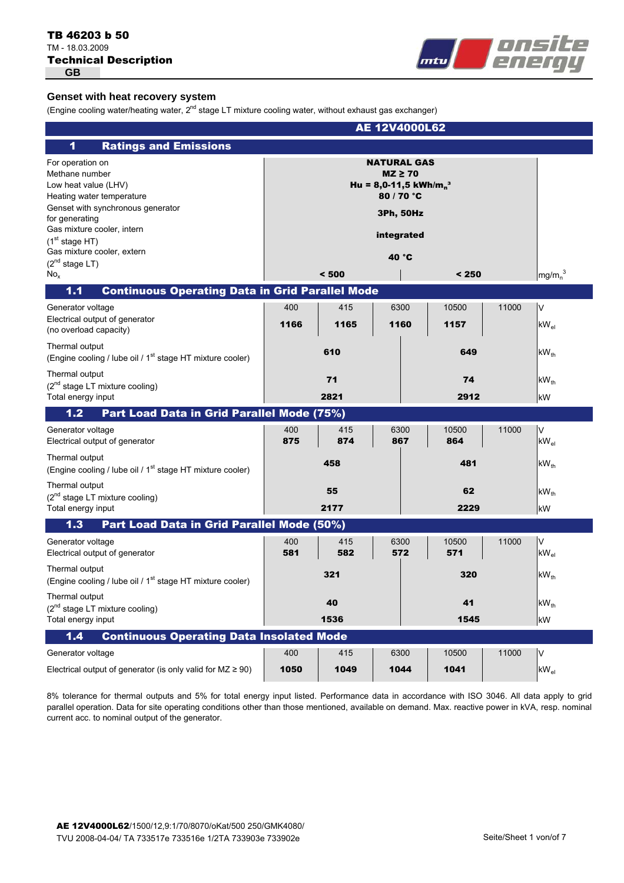## Technical Description TB 46203 b 50 TM - 18.03.2009 **GB**



## **Genset with heat recovery system**

(Engine cooling water/heating water,  $2^{nd}$  stage LT mixture cooling water, without exhaust gas exchanger)

|                                                                                                                                                                                                                                                                                    |             |             | <b>AE 12V4000L62</b>                                                                                                                  |               |       |                                |
|------------------------------------------------------------------------------------------------------------------------------------------------------------------------------------------------------------------------------------------------------------------------------------|-------------|-------------|---------------------------------------------------------------------------------------------------------------------------------------|---------------|-------|--------------------------------|
| <b>Ratings and Emissions</b><br>1                                                                                                                                                                                                                                                  |             |             |                                                                                                                                       |               |       |                                |
| For operation on<br>Methane number<br>Low heat value (LHV)<br>Heating water temperature<br>Genset with synchronous generator<br>for generating<br>Gas mixture cooler, intern<br>(1 <sup>st</sup> stage HT)<br>Gas mixture cooler, extern<br>$(2^{nd}$ stage LT)<br>No <sub>x</sub> |             | < 500       | <b>NATURAL GAS</b><br>$MZ \geq 70$<br>Hu = 8,0-11,5 kWh/m <sub>n</sub> <sup>3</sup><br>80 / 70 °C<br>3Ph, 50Hz<br>integrated<br>40 °C | < 250         |       | mg/m <sub>n</sub> <sup>3</sup> |
| <b>Continuous Operating Data in Grid Parallel Mode</b><br>1.1                                                                                                                                                                                                                      |             |             |                                                                                                                                       |               |       |                                |
| Generator voltage<br>Electrical output of generator<br>(no overload capacity)                                                                                                                                                                                                      | 400<br>1166 | 415<br>1165 | 6300<br>1160                                                                                                                          | 10500<br>1157 | 11000 | $\vee$<br>$kW_{el}$            |
| Thermal output<br>(Engine cooling / lube oil / 1 <sup>st</sup> stage HT mixture cooler)                                                                                                                                                                                            |             | 610         |                                                                                                                                       | 649           |       | $kW_{th}$                      |
| Thermal output<br>(2 <sup>nd</sup> stage LT mixture cooling)<br>Total energy input                                                                                                                                                                                                 |             | 71<br>2821  |                                                                                                                                       | 74<br>2912    |       | $kW_{th}$<br>kW                |
| Part Load Data in Grid Parallel Mode (75%)<br>$1.2$                                                                                                                                                                                                                                |             |             |                                                                                                                                       |               |       |                                |
| Generator voltage<br>Electrical output of generator                                                                                                                                                                                                                                | 400<br>875  | 415<br>874  | 6300<br>867                                                                                                                           | 10500<br>864  | 11000 | $\vee$<br>$kW_{el}$            |
| Thermal output<br>(Engine cooling / lube oil / 1 <sup>st</sup> stage HT mixture cooler)                                                                                                                                                                                            |             | 458         |                                                                                                                                       | 481           |       | $kW_{th}$                      |
| Thermal output<br>$(2^{nd}$ stage LT mixture cooling)<br>Total energy input                                                                                                                                                                                                        |             | 55<br>2177  |                                                                                                                                       | 62<br>2229    |       | $kW_{th}$<br>kW                |
| Part Load Data in Grid Parallel Mode (50%)<br>1.3                                                                                                                                                                                                                                  |             |             |                                                                                                                                       |               |       |                                |
| Generator voltage<br>Electrical output of generator                                                                                                                                                                                                                                | 400<br>581  | 415<br>582  | 6300<br>572                                                                                                                           | 10500<br>571  | 11000 | $\vee$<br>$kW_{el}$            |
| Thermal output<br>(Engine cooling / lube oil / 1 <sup>st</sup> stage HT mixture cooler)                                                                                                                                                                                            |             | 321         |                                                                                                                                       | 320           |       | $kW_{th}$                      |
| Thermal output                                                                                                                                                                                                                                                                     |             | 40          |                                                                                                                                       | 41            |       | $kW_{th}$                      |
| (2 <sup>nd</sup> stage LT mixture cooling)<br>Total energy input                                                                                                                                                                                                                   |             | 1536        |                                                                                                                                       | 1545          |       | kW                             |
| <b>Continuous Operating Data Insolated Mode</b><br>1.4                                                                                                                                                                                                                             |             |             |                                                                                                                                       |               |       |                                |
| Generator voltage                                                                                                                                                                                                                                                                  | 400         | 415         | 6300                                                                                                                                  | 10500         | 11000 | $\vee$                         |
| Electrical output of generator (is only valid for $MZ \ge 90$ )                                                                                                                                                                                                                    | 1050        | 1049        | 1044                                                                                                                                  | 1041          |       | $kW_{el}$                      |

8% tolerance for thermal outputs and 5% for total energy input listed. Performance data in accordance with ISO 3046. All data apply to grid parallel operation. Data for site operating conditions other than those mentioned, available on demand. Max. reactive power in kVA, resp. nominal current acc. to nominal output of the generator.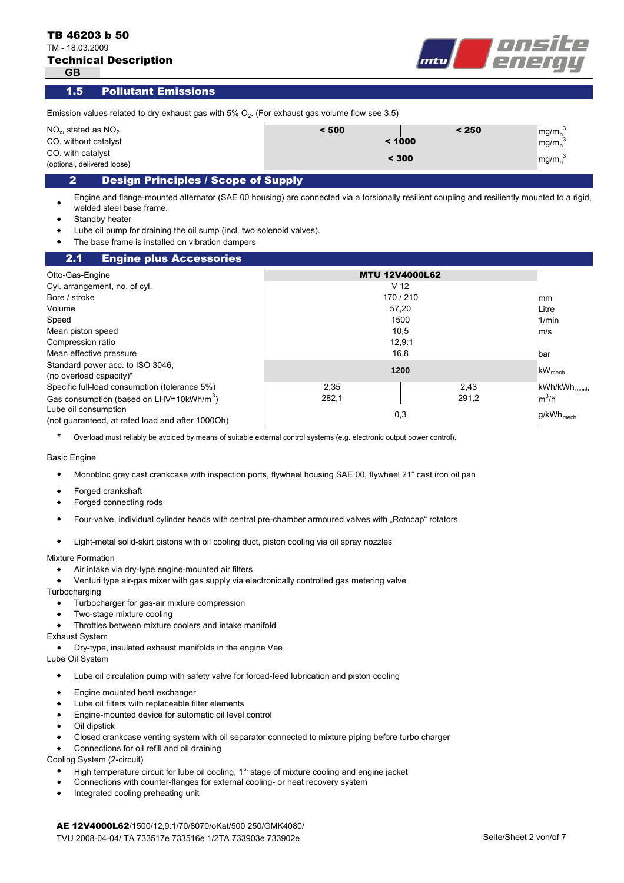TM - 18.03.2009

**GB**

|  | <b>Technical Description</b> |  |  |  |  |  |
|--|------------------------------|--|--|--|--|--|
|  |                              |  |  |  |  |  |



#### Pollutant Emissions 1.5

| Emission values related to dry exhaust gas with 5% $O_2$ . (For exhaust gas volume flow see 3.5) |       |                                            |                                 |  |  |
|--------------------------------------------------------------------------------------------------|-------|--------------------------------------------|---------------------------------|--|--|
| $NO2$ , stated as $NO2$                                                                          | < 500 | < 250                                      | $\left \right.$ mg/m $_{n}^{3}$ |  |  |
| CO, without catalyst                                                                             |       | $\left \right.\mathsf{mg/m}^3_n$<br>< 1000 |                                 |  |  |
| CO, with catalyst<br>(optional, delivered loose)                                                 |       | < 300                                      | $mg/mn$ <sup>3</sup>            |  |  |
| <b>Decian Drinciples / Scope of Supply</b>                                                       |       |                                            |                                 |  |  |

## 2 Design Principles / Scope of Supply

 $\bullet$ Engine and flange-mounted alternator (SAE 00 housing) are connected via a torsionally resilient coupling and resiliently mounted to a rigid, welded steel base frame.

- $\bullet$ Standby heater
- $\bullet$ Lube oil pump for draining the oil sump (incl. two solenoid valves).
- $\bullet$ The base frame is installed on vibration dampers

#### mm Litre 1/min m/s bar  $kW_{mech}$ kWh/kWh mech m ${}^{3}$ /h g/kWh<sub>mech</sub> 2.1 Engine plus Accessories Cyl. arrangement, no. of cyl. Otto-Gas-Engine **MTU 12V4000L62** Volume V 12 Bore / stroke 170 / 210 Speed the control of the control of the control of the control of the control of the control of the control of the control of the control of the control of the control of the control of the control of the control of the co Mean piston speed 10,5 Compression ratio 12,9:1 Standard power acc. to ISO 3046, (no overload capacity)\* **<sup>1200</sup>** Mean effective pressure the contract of the contract of the contract of the contract of the contract of the contract of the contract of the contract of the contract of the contract of the contract of the contract of the co Gas consumption (based on LHV=10kWh/m $^3$ )  $\hskip 1.5 cm -282.1$   $\hskip 1.5 cm -282.1$   $\hskip 1.5 cm -291.2$ Specific full-load consumption (tolerance 5%) 2,35 2,35 Lube oil consumption (not guaranteed, at rated load and after 1000Oh) 282,1 0,3 57,20

\* Overload must reliably be avoided by means of suitable external control systems (e.g. electronic output power control).

#### Basic Engine

- $\bullet$ Monobloc grey cast crankcase with inspection ports, flywheel housing SAE 00, flywheel 21" cast iron oil pan
- $\bullet$ Forged crankshaft
- $\bullet$ Forged connecting rods
- $\bullet$ Four-valve, individual cylinder heads with central pre-chamber armoured valves with "Rotocap" rotators
- $\bullet$ Light-metal solid-skirt pistons with oil cooling duct, piston cooling via oil spray nozzles

#### Mixture Formation

- $\bullet$ Air intake via dry-type engine-mounted air filters
- $\bullet$ Venturi type air-gas mixer with gas supply via electronically controlled gas metering valve

**Turbocharging** 

- $\bullet$ Turbocharger for gas-air mixture compression
- $\bullet$ Two-stage mixture cooling
- $\bullet$ Throttles between mixture coolers and intake manifold

### Exhaust System

- $\bullet$ Dry-type, insulated exhaust manifolds in the engine Vee
- Lube Oil System
	- $\blacklozenge$ Lube oil circulation pump with safety valve for forced-feed lubrication and piston cooling
	- $\bullet$ Engine mounted heat exchanger
	- $\bullet$ Lube oil filters with replaceable filter elements
	- $\bullet$ Engine-mounted device for automatic oil level control
	- $\bullet$ Oil dipstick
	- $\bullet$ Closed crankcase venting system with oil separator connected to mixture piping before turbo charger
	- $\bullet$ Connections for oil refill and oil draining

Cooling System (2-circuit)

- $\blacklozenge$ High temperature circuit for lube oil cooling,  $1<sup>st</sup>$  stage of mixture cooling and engine jacket
- $\bullet$ Connections with counter-flanges for external cooling- or heat recovery system
- $\bullet$ Integrated cooling preheating unit

AE 12V4000L62/1500/12,9:1/70/8070/oKat/500 250/GMK4080/ TVU 2008-04-04/ TA 733517e 733516e 1/2TA 733903e 733902e Seite/Sheet 2 von/of 7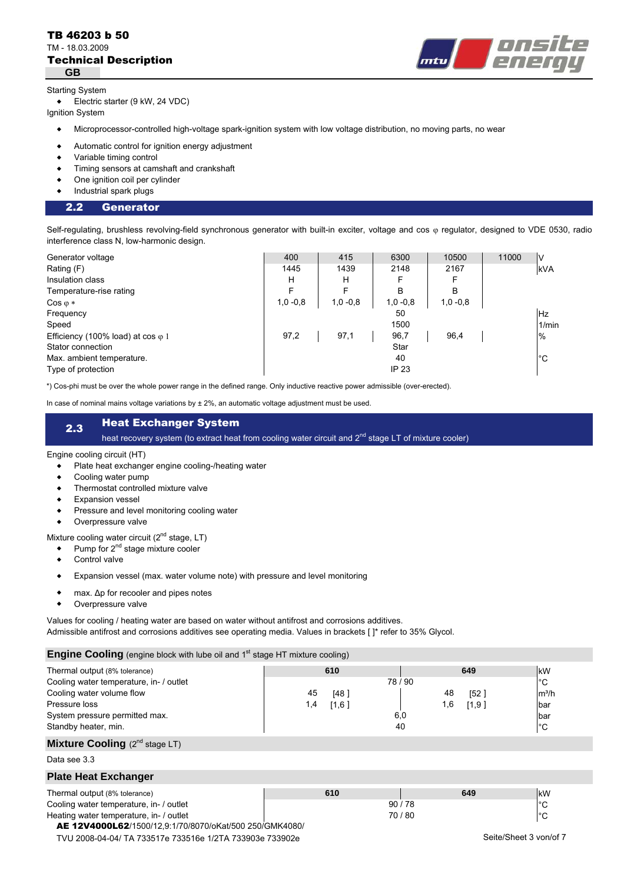### Technical Description TB 46203 b 50 TM - 18.03.2009 **GB**



#### Starting System

 $\bullet$ Electric starter (9 kW, 24 VDC)

Ignition System

- $\bullet$ Microprocessor-controlled high-voltage spark-ignition system with low voltage distribution, no moving parts, no wear
- $\bullet$ Automatic control for ignition energy adjustment
- $\bullet$ Variable timing control
- $\bullet$ Timing sensors at camshaft and crankshaft
- $\bullet$ One ignition coil per cylinder
- $\bullet$ Industrial spark plugs

#### 2.2 Generator

Self-regulating, brushless revolving-field synchronous generator with built-in exciter, voltage and cos « regulator, designed to VDE 0530, radio interference class N, low-harmonic design.

| Generator voltage                         | 400        | 415        | 6300         | 10500      | 11000 | V           |
|-------------------------------------------|------------|------------|--------------|------------|-------|-------------|
| Rating (F)                                | 1445       | 1439       | 2148         | 2167       |       | <b>kVA</b>  |
| Insulation class                          | н          | н          | F            | F          |       |             |
| Temperature-rise rating                   | Е          | F          | B            | в          |       |             |
| $\cos \varphi *$                          | $1,0 -0.8$ | $1,0 -0.8$ | $1,0 -0.8$   | $1,0 -0.8$ |       |             |
| Frequency                                 |            |            | 50           |            |       | Hz          |
| Speed                                     |            |            | 1500         |            |       | 1/min       |
| Efficiency (100% load) at cos $\varphi$ 1 | 97,2       | 97,1       | 96,7         | 96,4       |       | $\%$        |
| Stator connection                         |            |            | Star         |            |       |             |
| Max. ambient temperature.                 |            |            | 40           |            |       | $^{\circ}C$ |
| Type of protection                        |            |            | <b>IP 23</b> |            |       |             |

\*) Cos-phi must be over the whole power range in the defined range. Only inductive reactive power admissible (over-erected).

In case of nominal mains voltage variations by  $\pm 2\%$ , an automatic voltage adjustment must be used.

# 2.3 Heat Exchanger System

heat recovery system (to extract heat from cooling water circuit and 2<sup>nd</sup> stage LT of mixture cooler)

#### Engine cooling circuit (HT)

- $\bullet$ Plate heat exchanger engine cooling-/heating water
- $\bullet$ Cooling water pump
- $\bullet$ Thermostat controlled mixture valve
- $\blacktriangle$ Expansion vessel
- $\bullet$ Pressure and level monitoring cooling water
- $\bullet$ Overpressure valve

Mixture cooling water circuit  $(2^{nd}$  stage, LT)

- $\bullet$ Pump for 2<sup>nd</sup> stage mixture cooler
- $\bullet$ Control valve
- $\bullet$ Expansion vessel (max. water volume note) with pressure and level monitoring
- $\bullet$ max. Δp for recooler and pipes notes
- $\bullet$ Overpressure valve

Values for cooling / heating water are based on water without antifrost and corrosions additives.

Admissible antifrost and corrosions additives see operating media. Values in brackets [ ]\* refer to 35% Glycol.

## **Engine Cooling** (engine block with lube oil and 1st stage HT mixture cooling)

| <b>Light Cooling</b> (cright block with labe of and T stage ITT mixture cooling) |                                                          |       |              |                        |
|----------------------------------------------------------------------------------|----------------------------------------------------------|-------|--------------|------------------------|
| Thermal output (8% tolerance)                                                    | 610                                                      |       | 649          | kW                     |
| Cooling water temperature, in- / outlet                                          |                                                          | 78/90 |              | $^{\circ}C$            |
| Cooling water volume flow                                                        | 45<br>[48]                                               |       | 48<br>[52]   | $m^3/h$                |
| Pressure loss                                                                    | 1,4<br>[1,6]                                             |       | 1,6<br>[1,9] | bar                    |
| System pressure permitted max.                                                   |                                                          | 6,0   |              | bar                    |
| Standby heater, min.                                                             |                                                          | 40    |              | $^{\circ}C$            |
| <b>Mixture Cooling</b> $(2^{nd}$ stage LT)                                       |                                                          |       |              |                        |
| Data see 3.3                                                                     |                                                          |       |              |                        |
| <b>Plate Heat Exchanger</b>                                                      |                                                          |       |              |                        |
| Thermal output (8% tolerance)                                                    | 610                                                      |       | 649          | kW                     |
| Cooling water temperature, in- / outlet                                          |                                                          | 90/78 |              | $^{\circ}C$            |
| Heating water temperature, in- / outlet                                          |                                                          | 70/80 |              | $^{\circ}C$            |
| AE 12V4000L62/1500/12.9:1/70/8070/oKat/500 250/GMK4080/                          |                                                          |       |              |                        |
|                                                                                  | TVU 2008-04-04/ TA 733517e 733516e 1/2TA 733903e 733902e |       |              | Seite/Sheet 3 von/of 7 |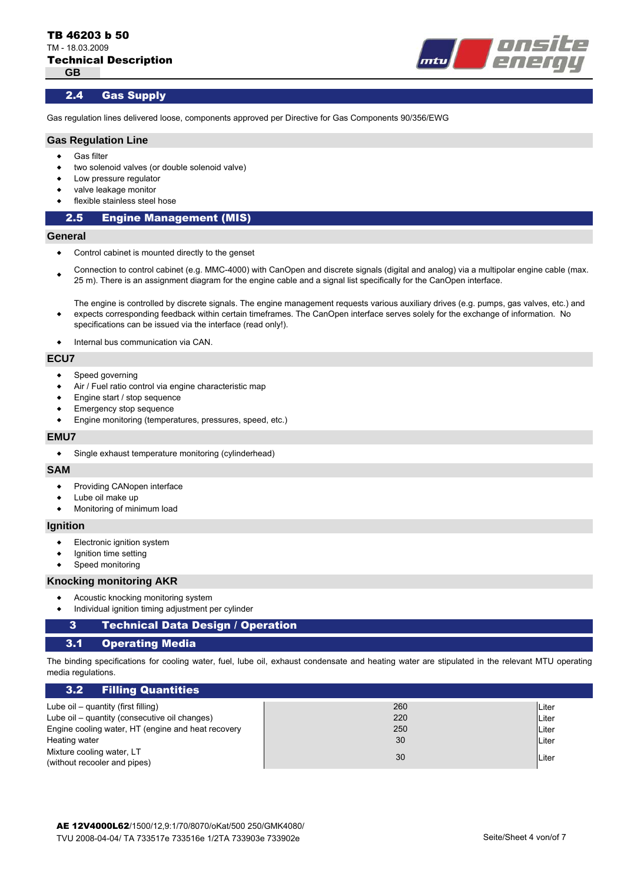

### 2.4 Gas Supply

Gas regulation lines delivered loose, components approved per Directive for Gas Components 90/356/EWG

#### **Gas Regulation Line**

- $\bullet$ Gas filter
- $\bullet$ two solenoid valves (or double solenoid valve)
- $\bullet$ Low pressure regulator
- $\bullet$ valve leakage monitor
- $\bullet$ flexible stainless steel hose

#### 2.5 Engine Management (MIS)

#### **General**

- $\bullet$ Control cabinet is mounted directly to the genset
- $\bullet$ Connection to control cabinet (e.g. MMC-4000) with CanOpen and discrete signals (digital and analog) via a multipolar engine cable (max. 25 m). There is an assignment diagram for the engine cable and a signal list specifically for the CanOpen interface.

The engine is controlled by discrete signals. The engine management requests various auxiliary drives (e.g. pumps, gas valves, etc.) and expects corresponding feedback within certain timeframes. The CanOpen interface serves solely for the exchange of information. No specifications can be issued via the interface (read only!).

 $\blacktriangle$ Internal bus communication via CAN.

#### **ECU7**

 $\bullet$ 

- $\bullet$ Speed governing
- $\bullet$ Air / Fuel ratio control via engine characteristic map
- $\bullet$ Engine start / stop sequence
- $\bullet$ Emergency stop sequence
- $\blacktriangle$ Engine monitoring (temperatures, pressures, speed, etc.)

#### **EMU7**

 $\bullet$ Single exhaust temperature monitoring (cylinderhead)

#### **SAM**

- $\blacklozenge$ Providing CANopen interface
- $\bullet$ Lube oil make up
- $\bullet$ Monitoring of minimum load

#### **Ignition**

- $\bullet$ Electronic ignition system
- $\bullet$ Ignition time setting
- $\bullet$ Speed monitoring

#### **Knocking monitoring AKR**

- $\bullet$ Acoustic knocking monitoring system
- $\bullet$ Individual ignition timing adjustment per cylinder

#### 3 Technical Data Design / Operation

#### 3.1 Operating Media

The binding specifications for cooling water, fuel, lube oil, exhaust condensate and heating water are stipulated in the relevant MTU operating media regulations.

| 3.2 Filling Quantities                                    |     |              |
|-----------------------------------------------------------|-----|--------------|
| Lube oil – quantity (first filling)                       | 260 | Liter        |
| Lube oil – quantity (consecutive oil changes)             | 220 | ⊪Liter       |
| Engine cooling water, HT (engine and heat recovery        | 250 | Liter        |
| Heating water                                             | 30  | <b>Liter</b> |
| Mixture cooling water, LT<br>(without recooler and pipes) | 30  | Liter        |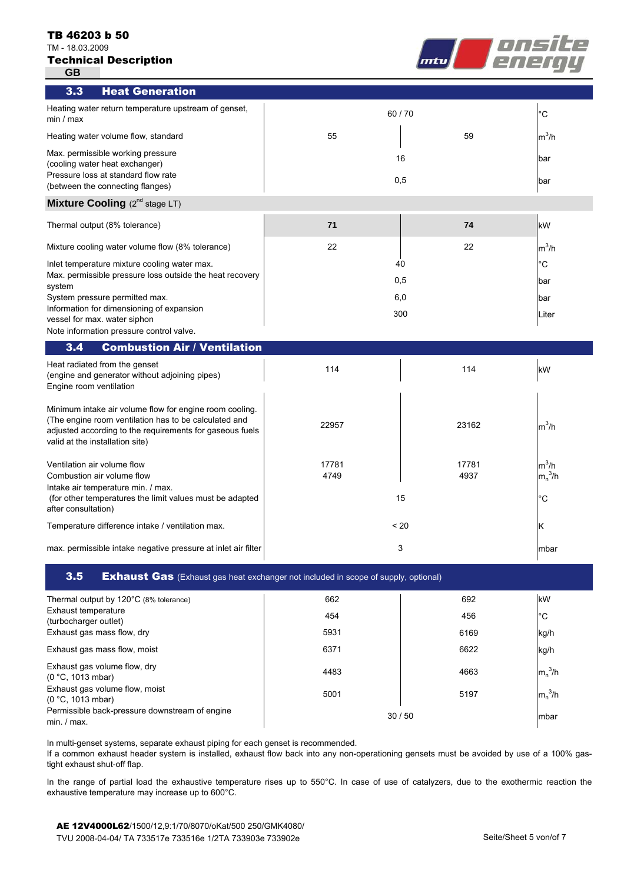#### TB 46203 b 50

TM - 18.03.2009





| 3.3<br><b>Heat Generation</b>                                                                                                                                                                                   |       |       |             |
|-----------------------------------------------------------------------------------------------------------------------------------------------------------------------------------------------------------------|-------|-------|-------------|
| Heating water return temperature upstream of genset,<br>min / max                                                                                                                                               | 60/70 |       | $^{\circ}C$ |
| Heating water volume flow, standard                                                                                                                                                                             | 55    | 59    | $m^3/h$     |
| Max. permissible working pressure<br>(cooling water heat exchanger)                                                                                                                                             | 16    |       | bar         |
| Pressure loss at standard flow rate<br>(between the connecting flanges)                                                                                                                                         | 0,5   |       | bar         |
| Mixture Cooling (2 <sup>nd</sup> stage LT)                                                                                                                                                                      |       |       |             |
| Thermal output (8% tolerance)                                                                                                                                                                                   | 71    | 74    | kW          |
| Mixture cooling water volume flow (8% tolerance)                                                                                                                                                                | 22    | 22    | $m^3/h$     |
| Inlet temperature mixture cooling water max.                                                                                                                                                                    | 40    |       | $^{\circ}C$ |
| Max. permissible pressure loss outside the heat recovery<br>system                                                                                                                                              | 0,5   |       | bar         |
| System pressure permitted max.                                                                                                                                                                                  | 6,0   |       | bar         |
| Information for dimensioning of expansion<br>vessel for max. water siphon                                                                                                                                       | 300   |       | Liter       |
| Note information pressure control valve.                                                                                                                                                                        |       |       |             |
| <b>Combustion Air / Ventilation</b><br>3.4                                                                                                                                                                      |       |       |             |
| Heat radiated from the genset<br>(engine and generator without adjoining pipes)<br>Engine room ventilation                                                                                                      | 114   | 114   | kW          |
| Minimum intake air volume flow for engine room cooling.<br>(The engine room ventilation has to be calculated and<br>adjusted according to the requirements for gaseous fuels<br>valid at the installation site) | 22957 | 23162 | $m^3/h$     |
| Ventilation air volume flow                                                                                                                                                                                     | 17781 | 17781 | $m^3/h$     |
| Combustion air volume flow                                                                                                                                                                                      | 4749  | 4937  | $m_n^3/h$   |
| Intake air temperature min. / max.<br>(for other temperatures the limit values must be adapted<br>after consultation)                                                                                           | 15    |       | $^{\circ}C$ |
| Temperature difference intake / ventilation max.                                                                                                                                                                | < 20  |       | Κ           |
| max. permissible intake negative pressure at inlet air filter                                                                                                                                                   | 3     |       | mbar        |

**3.5** Exhaust Gas (Exhaust gas heat exchanger not included in scope of supply, optional)

| Thermal output by 120°C (8% tolerance)                        | 662  | 692   | kW           |
|---------------------------------------------------------------|------|-------|--------------|
| Exhaust temperature<br>(turbocharger outlet)                  | 454  | 456   | $^{\circ}$ C |
| Exhaust gas mass flow, dry                                    | 5931 | 6169  | kg/h         |
| Exhaust gas mass flow, moist                                  | 6371 | 6622  | kg/h         |
| Exhaust gas volume flow, dry<br>(0 °C, 1013 mbar)             | 4483 | 4663  | $m_n^3/h$    |
| Exhaust gas volume flow, moist<br>(0 °C, 1013 mbar)           | 5001 | 5197  | $m_n^3/h$    |
| Permissible back-pressure downstream of engine<br>min. / max. |      | 30/50 | mbar         |

In multi-genset systems, separate exhaust piping for each genset is recommended.

If a common exhaust header system is installed, exhaust flow back into any non-operationing gensets must be avoided by use of a 100% gastight exhaust shut-off flap.

In the range of partial load the exhaustive temperature rises up to 550°C. In case of use of catalyzers, due to the exothermic reaction the exhaustive temperature may increase up to 600°C.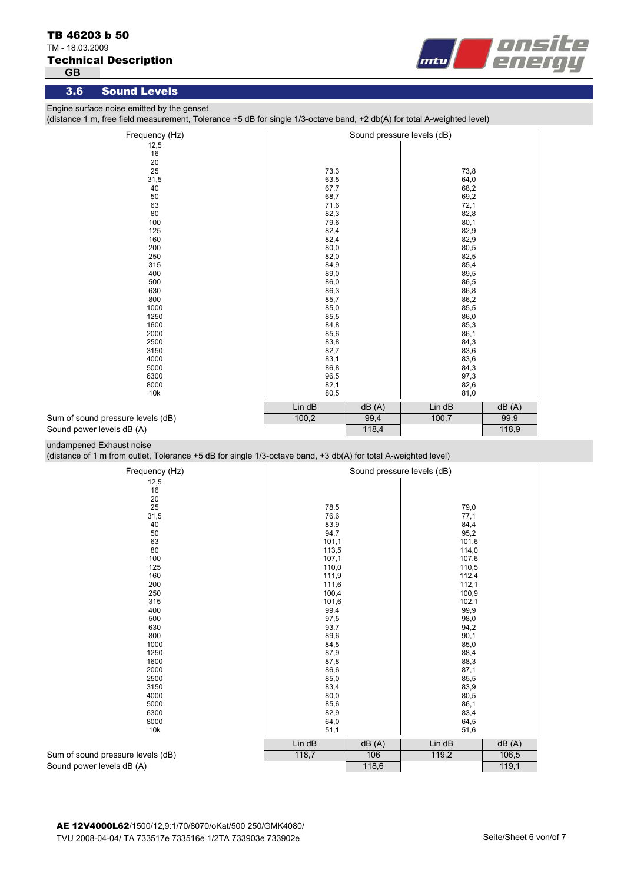## TM - 18.03.2009

## Technical Description

**GB**



## 3.6 Sound Levels

Engine surface noise emitted by the genset

(distance 1 m, free field measurement, Tolerance +5 dB for single 1/3-octave band, +2 db(A) for total A-weighted level)

| Frequency (Hz)                    | Sound pressure levels (dB) |       |        |       |
|-----------------------------------|----------------------------|-------|--------|-------|
| 12,5                              |                            |       |        |       |
| 16                                |                            |       |        |       |
| 20                                |                            |       |        |       |
| 25                                | 73,3                       |       | 73,8   |       |
| 31,5                              | 63,5                       |       | 64,0   |       |
| 40                                | 67,7                       |       | 68,2   |       |
| 50                                | 68,7                       |       | 69,2   |       |
| 63                                | 71,6                       |       | 72,1   |       |
| 80                                | 82,3                       |       | 82,8   |       |
| 100                               | 79,6                       |       | 80,1   |       |
| 125                               | 82,4                       |       | 82,9   |       |
| 160                               | 82,4                       |       | 82,9   |       |
| 200                               | 80,0                       |       | 80,5   |       |
| 250                               | 82,0                       |       | 82,5   |       |
| 315                               | 84,9                       |       | 85,4   |       |
| 400                               | 89,0                       |       | 89,5   |       |
| 500                               | 86,0                       |       | 86,5   |       |
| 630                               | 86,3                       |       | 86,8   |       |
| 800                               | 85,7                       |       | 86,2   |       |
| 1000                              | 85,0                       |       | 85,5   |       |
| 1250                              | 85,5                       |       | 86,0   |       |
| 1600                              | 84,8                       |       | 85,3   |       |
| 2000                              | 85,6                       |       | 86,1   |       |
| 2500                              | 83,8                       |       | 84,3   |       |
| 3150                              | 82,7                       |       | 83,6   |       |
| 4000                              | 83,1                       |       | 83,6   |       |
| 5000                              | 86,8                       |       | 84,3   |       |
| 6300                              | 96,5                       |       | 97,3   |       |
| 8000                              | 82,1                       |       | 82,6   |       |
| 10k                               | 80,5                       |       | 81,0   |       |
|                                   | Lin dB                     | dB(A) | Lin dB | dB(A) |
| Sum of sound pressure levels (dB) | 100,2                      | 99,4  | 100,7  | 99,9  |
| Sound power levels dB (A)         |                            | 118,4 |        | 118,9 |

#### undampened Exhaust noise

Sound

(distance of 1 m from outlet, Tolerance +5 dB for single 1/3-octave band, +3 db(A) for total A-weighted level)

| Frequency (Hz)                    |        |       | Sound pressure levels (dB) |       |  |
|-----------------------------------|--------|-------|----------------------------|-------|--|
| 12,5                              |        |       |                            |       |  |
| 16                                |        |       |                            |       |  |
| 20                                |        |       |                            |       |  |
| 25                                | 78,5   |       | 79,0                       |       |  |
| 31,5                              | 76,6   |       | 77,1                       |       |  |
| 40                                | 83,9   |       | 84,4                       |       |  |
| 50                                | 94,7   |       | 95,2                       |       |  |
| 63                                | 101,1  |       | 101,6                      |       |  |
| 80                                | 113,5  |       | 114,0                      |       |  |
| 100                               | 107,1  |       | 107,6                      |       |  |
| 125                               | 110,0  |       | 110,5                      |       |  |
| 160                               | 111,9  |       | 112,4                      |       |  |
| 200                               | 111,6  |       | 112,1                      |       |  |
| 250                               | 100,4  |       | 100,9                      |       |  |
| 315                               | 101,6  |       | 102,1                      |       |  |
| 400                               | 99,4   |       | 99,9                       |       |  |
| 500                               | 97,5   |       | 98,0                       |       |  |
| 630                               | 93,7   |       | 94,2                       |       |  |
| 800                               | 89,6   |       | 90,1                       |       |  |
| 1000                              | 84,5   |       | 85,0                       |       |  |
| 1250                              | 87,9   |       | 88,4                       |       |  |
| 1600                              | 87,8   |       | 88,3                       |       |  |
| 2000                              | 86,6   |       | 87,1                       |       |  |
| 2500                              | 85,0   |       | 85,5                       |       |  |
| 3150                              | 83,4   |       | 83,9                       |       |  |
| 4000                              | 80,0   |       | 80,5                       |       |  |
| 5000                              | 85,6   |       | 86,1                       |       |  |
| 6300                              | 82,9   |       | 83,4                       |       |  |
| 8000                              | 64,0   |       | 64,5                       |       |  |
| 10k                               | 51,1   |       | 51,6                       |       |  |
|                                   | Lin dB | dB(A) | Lin dB                     | dB(A) |  |
| Sum of sound pressure levels (dB) | 118,7  | 106   | 119,2                      | 106,5 |  |
| Sound power levels dB (A)         |        | 118,6 |                            | 119,1 |  |